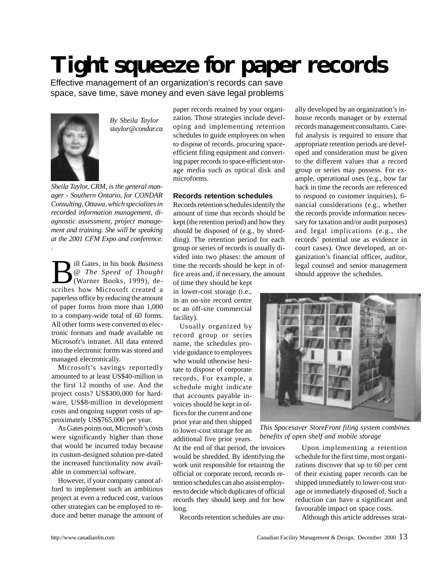## **Tight squeeze for paper records**

Effective management of an organization's records can save space, save time, save money and even save legal problems



*.*

*By Sheila Taylor staylor@condar.ca*

*Sheila Taylor, CRM, is the general manager - Southern Ontario, for CONDAR Consulting, Ottawa, which specializes in recorded information management, diagnostic assessment, project management and training. She will be speaking at the 2001 CFM Expo and conference.*

**B** ill Gates, in his book *Business*<br>
@ *The Speed of Thought*<br>
scribes how Microsoft created a ill Gates, in his book *Business @ The Speed of Thought* (Warner Books, 1999), depaperless office by reducing the amount of paper forms from more than 1,000 to a company-wide total of 60 forms. All other forms were converted to electronic formats and made available on Microsoft's intranet. All data entered into the electronic forms was stored and managed electronically.

Microsoft's savings reportedly amounted to at least US\$40-million in the first 12 months of use. And the project costs? US\$300,000 for hardware, US\$8-million in development costs and ongoing support costs of approximately US\$765,000 per year.

As Gates points out, Microsoft's costs were significantly higher than those that would be incurred today because its custom-designed solution pre-dated the increased functionality now available in commercial software.

However, if your company cannot afford to implement such an ambitious project at even a reduced cost, various other strategies can be employed to reduce and better manage the amount of paper records retained by your organization. Those strategies include developing and implementing retention schedules to guide employees on when to dispose of records, procuring spaceefficient filing equipment and converting paper records to space-efficient storage media such as optical disk and microforms.

## **Records retention schedules**

Records retention schedules identify the amount of time that records should be kept (the retention period) and how they should be disposed of (e.g., by shredding). The retention period for each group or series of records is usually divided into two phases: the amount of time the records should be kept in office areas and, if necessary, the amount of time they should be kept

in lower-cost storage (i.e., in an on-site record centre or an off-site commercial facility).

Usually organized by record group or series name, the schedules provide guidance to employees who would otherwise hesitate to dispose of corporate records. For example, a schedule might indicate that accounts payable invoices should be kept in offices for the current and one prior year and then shipped to lower-cost storage for an additional five prior years.

At the end of that period, the invoices would be shredded. By identifying the work unit responsible for retaining the official or corporate record, records retention schedules can also assist employees to decide which duplicates of official records they should keep and for how long.

Records retention schedules are usu-

ally developed by an organization's inhouse records manager or by external records management consultants. Careful analysis is required to ensure that appropriate retention periods are developed and consideration must be given to the different values that a record group or series may possess. For example, operational uses (e.g., how far back in time the records are referenced to respond to customer inquiries), financial considerations (e.g., whether the records provide information necessary for taxation and/or audit purposes) and legal implications (e.g., the records' potential use as evidence in court cases). Once developed, an organization's financial officer, auditor, legal counsel and senior management should approve the schedules.



*This Spacesaver StoreFront filing system combines benefits of open shelf and mobile storage*

Upon implementing a retention schedule for the first time, most organizations discover that up to 60 per cent of their existing paper records can be shipped immediately to lower-cost storage or immediately disposed of. Such a reduction can have a significant and favourable impact on space costs.

Although this article addresses strat-